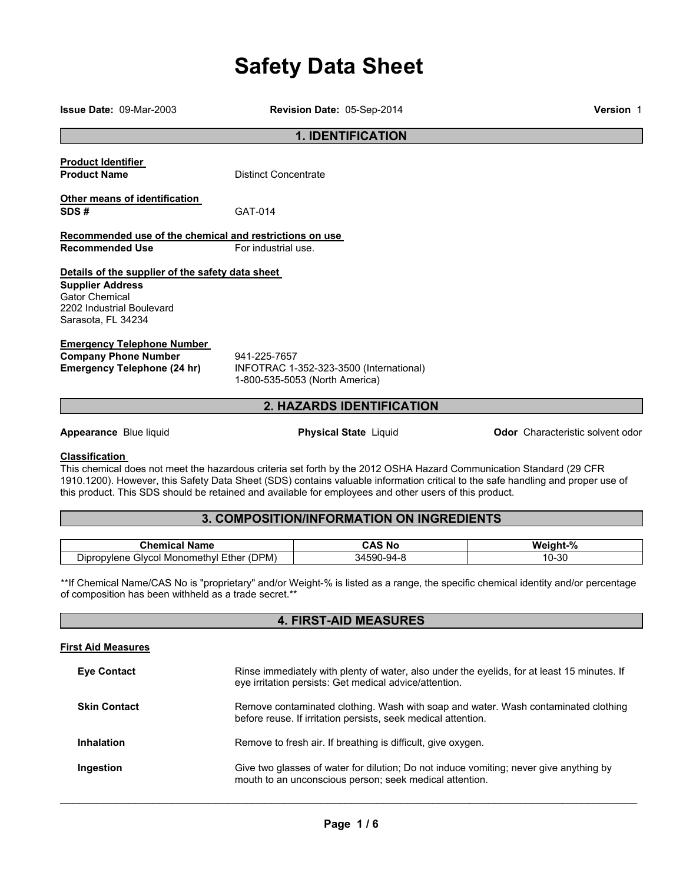# **Safety Data Sheet**

| <b>1. IDENTIFICATION</b>                                                                            |                                                                                           |                                         |  |
|-----------------------------------------------------------------------------------------------------|-------------------------------------------------------------------------------------------|-----------------------------------------|--|
| <b>Product Identifier</b><br><b>Product Name</b>                                                    | <b>Distinct Concentrate</b>                                                               |                                         |  |
| Other means of identification<br>SDS#                                                               | GAT-014                                                                                   |                                         |  |
| Recommended use of the chemical and restrictions on use                                             |                                                                                           |                                         |  |
| <b>Recommended Use</b>                                                                              | For industrial use.                                                                       |                                         |  |
| Details of the supplier of the safety data sheet                                                    |                                                                                           |                                         |  |
| <b>Supplier Address</b><br><b>Gator Chemical</b><br>2202 Industrial Boulevard<br>Sarasota, FL 34234 |                                                                                           |                                         |  |
| <b>Emergency Telephone Number</b>                                                                   |                                                                                           |                                         |  |
| <b>Company Phone Number</b><br><b>Emergency Telephone (24 hr)</b>                                   | 941-225-7657<br>INFOTRAC 1-352-323-3500 (International)<br>1-800-535-5053 (North America) |                                         |  |
|                                                                                                     | <b>2. HAZARDS IDENTIFICATION</b>                                                          |                                         |  |
| Appearance Blue liquid                                                                              | <b>Physical State Liquid</b>                                                              | <b>Odor</b> Characteristic solvent odor |  |

## **Classification**

This chemical does not meet the hazardous criteria set forth by the 2012 OSHA Hazard Communication Standard (29 CFR 1910.1200). However, this Safety Data Sheet (SDS) contains valuable information critical to the safe handling and proper use of this product. This SDS should be retained and available for employees and other users of this product.

# **3. COMPOSITION/INFORMATION ON INGREDIENTS**

| Name<br><b>Chemica</b><br>чтыса.                               | . .<br><b>NC</b><br>ノハコ | $\mathbf{a}$<br>We<br>aant.<br>70 |
|----------------------------------------------------------------|-------------------------|-----------------------------------|
| -<br>(DPM)<br>Givcol<br>، Monomethyl<br>Dipropylene<br>Ether ( | -590-94-8<br>34.        | -30                               |

\*\*If Chemical Name/CAS No is "proprietary" and/or Weight-% is listed as a range, the specific chemical identity and/or percentage of composition has been withheld as a trade secret.\*\*

# **4. FIRST-AID MEASURES**

## **First Aid Measures**

| <b>Eve Contact</b>  | Rinse immediately with plenty of water, also under the eyelids, for at least 15 minutes. If<br>eye irritation persists: Get medical advice/attention. |
|---------------------|-------------------------------------------------------------------------------------------------------------------------------------------------------|
| <b>Skin Contact</b> | Remove contaminated clothing. Wash with soap and water. Wash contaminated clothing<br>before reuse. If irritation persists, seek medical attention.   |
| <b>Inhalation</b>   | Remove to fresh air. If breathing is difficult, give oxygen.                                                                                          |
| Ingestion           | Give two glasses of water for dilution; Do not induce vomiting; never give anything by<br>mouth to an unconscious person; seek medical attention.     |

 $\mathcal{L}_\mathcal{L} = \{ \mathcal{L}_\mathcal{L} = \{ \mathcal{L}_\mathcal{L} = \{ \mathcal{L}_\mathcal{L} = \{ \mathcal{L}_\mathcal{L} = \{ \mathcal{L}_\mathcal{L} = \{ \mathcal{L}_\mathcal{L} = \{ \mathcal{L}_\mathcal{L} = \{ \mathcal{L}_\mathcal{L} = \{ \mathcal{L}_\mathcal{L} = \{ \mathcal{L}_\mathcal{L} = \{ \mathcal{L}_\mathcal{L} = \{ \mathcal{L}_\mathcal{L} = \{ \mathcal{L}_\mathcal{L} = \{ \mathcal{L}_\mathcal{$ 

**Issue Date:** 09-Mar-2003 **Revision Date:** 05-Sep-2014 **Version** 1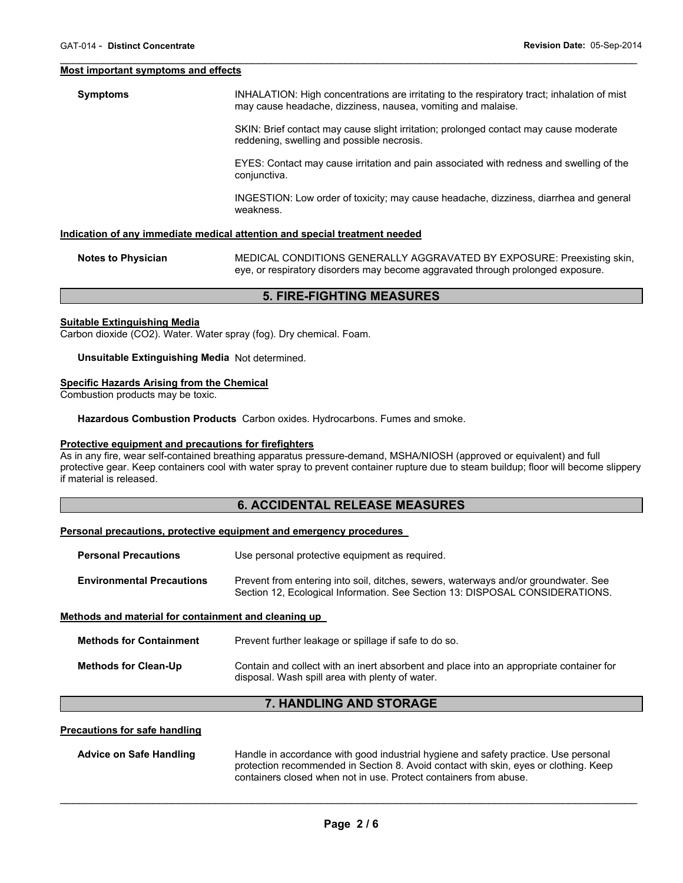#### **Most important symptoms and effects**

**Symptoms INHALATION: High concentrations are irritating to the respiratory tract; inhalation of mist** may cause headache, dizziness, nausea, vomiting and malaise. SKIN: Brief contact may cause slight irritation; prolonged contact may cause moderate reddening, swelling and possible necrosis. EYES: Contact may cause irritation and pain associated with redness and swelling of the conjunctiva. INGESTION: Low order of toxicity; may cause headache, dizziness, diarrhea and general weakness. **Indication of any immediate medical attention and special treatment needed**

 $\mathcal{L}_\mathcal{L} = \{ \mathcal{L}_\mathcal{L} = \{ \mathcal{L}_\mathcal{L} = \{ \mathcal{L}_\mathcal{L} = \{ \mathcal{L}_\mathcal{L} = \{ \mathcal{L}_\mathcal{L} = \{ \mathcal{L}_\mathcal{L} = \{ \mathcal{L}_\mathcal{L} = \{ \mathcal{L}_\mathcal{L} = \{ \mathcal{L}_\mathcal{L} = \{ \mathcal{L}_\mathcal{L} = \{ \mathcal{L}_\mathcal{L} = \{ \mathcal{L}_\mathcal{L} = \{ \mathcal{L}_\mathcal{L} = \{ \mathcal{L}_\mathcal{$ 

**Notes to Physician** MEDICAL CONDITIONS GENERALLY AGGRAVATED BY EXPOSURE: Preexisting skin, eye, or respiratory disorders may become aggravated through prolonged exposure.

## **5. FIRE-FIGHTING MEASURES**

#### **Suitable Extinguishing Media**

Carbon dioxide (CO2). Water. Water spray (fog). Dry chemical. Foam.

#### **Unsuitable Extinguishing Media** Not determined.

# **Specific Hazards Arising from the Chemical**

Combustion products may be toxic.

**Hazardous Combustion Products** Carbon oxides. Hydrocarbons. Fumes and smoke.

#### **Protective equipment and precautions for firefighters**

As in any fire, wear self-contained breathing apparatus pressure-demand, MSHA/NIOSH (approved or equivalent) and full protective gear. Keep containers cool with water spray to prevent container rupture due to steam buildup; floor will become slippery if material is released.

## **6. ACCIDENTAL RELEASE MEASURES**

#### **Personal precautions, protective equipment and emergency procedures**

| <b>Personal Precautions</b>                          | Use personal protective equipment as required.                                                                                                                      |
|------------------------------------------------------|---------------------------------------------------------------------------------------------------------------------------------------------------------------------|
| <b>Environmental Precautions</b>                     | Prevent from entering into soil, ditches, sewers, waterways and/or groundwater. See<br>Section 12, Ecological Information. See Section 13: DISPOSAL CONSIDERATIONS. |
| Methods and material for containment and cleaning up |                                                                                                                                                                     |

| <b>Methods for Containment</b> | Prevent further leakage or spillage if safe to do so.                                                                                      |
|--------------------------------|--------------------------------------------------------------------------------------------------------------------------------------------|
| Methods for Clean-Up           | Contain and collect with an inert absorbent and place into an appropriate container for<br>disposal. Wash spill area with plenty of water. |

# **7. HANDLING AND STORAGE**

## **Precautions for safe handling**

| Advice on Safe Handling | Handle in accordance with good industrial hygiene and safety practice. Use personal<br>protection recommended in Section 8. Avoid contact with skin, eyes or clothing. Keep |  |
|-------------------------|-----------------------------------------------------------------------------------------------------------------------------------------------------------------------------|--|
|                         |                                                                                                                                                                             |  |
|                         | containers closed when not in use. Protect containers from abuse.                                                                                                           |  |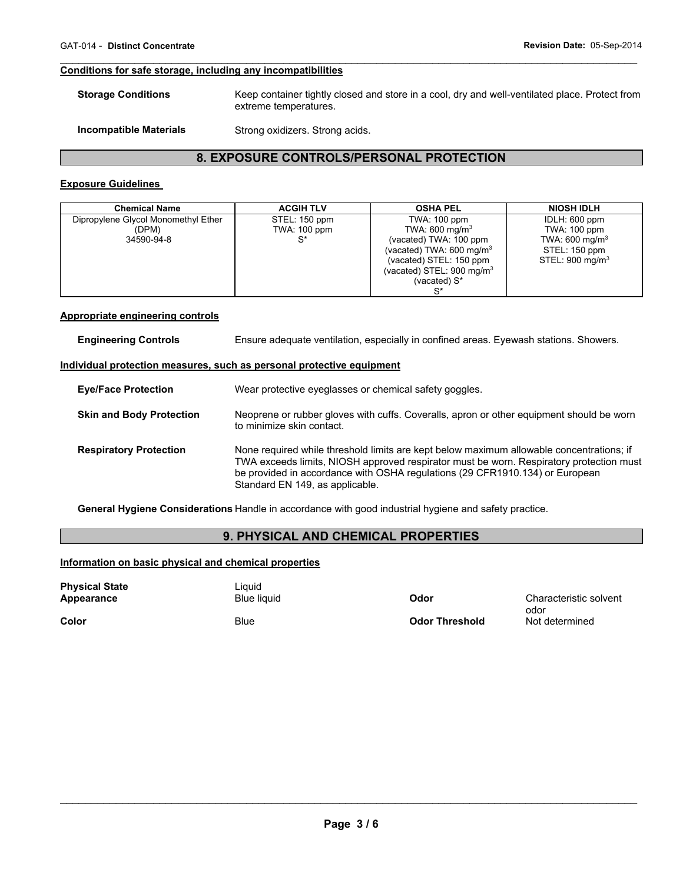# **Conditions for safe storage, including any incompatibilities**

| <b>Storage Conditions</b> | Keep container tightly closed and store in a cool, dry and well-ventilated place. Protect from<br>extreme temperatures. |
|---------------------------|-------------------------------------------------------------------------------------------------------------------------|
| Incompatible Materials    | Strong oxidizers. Strong acids.                                                                                         |

 $\mathcal{L}_\mathcal{L} = \{ \mathcal{L}_\mathcal{L} = \{ \mathcal{L}_\mathcal{L} = \{ \mathcal{L}_\mathcal{L} = \{ \mathcal{L}_\mathcal{L} = \{ \mathcal{L}_\mathcal{L} = \{ \mathcal{L}_\mathcal{L} = \{ \mathcal{L}_\mathcal{L} = \{ \mathcal{L}_\mathcal{L} = \{ \mathcal{L}_\mathcal{L} = \{ \mathcal{L}_\mathcal{L} = \{ \mathcal{L}_\mathcal{L} = \{ \mathcal{L}_\mathcal{L} = \{ \mathcal{L}_\mathcal{L} = \{ \mathcal{L}_\mathcal{$ 

# **8. EXPOSURE CONTROLS/PERSONAL PROTECTION**

# **Exposure Guidelines**

| <b>Chemical Name</b>                | <b>ACGIH TLV</b> | <b>OSHA PEL</b>                      | <b>NIOSH IDLH</b>          |
|-------------------------------------|------------------|--------------------------------------|----------------------------|
| Dipropylene Glycol Monomethyl Ether | STEL: 150 ppm    | TWA: 100 ppm                         | IDLH: 600 ppm              |
| (DPM)                               | TWA: 100 ppm     | TWA: $600 \text{ mg/m}^3$            | TWA: 100 ppm               |
| 34590-94-8                          | c*               | (vacated) TWA: 100 ppm               | TWA: 600 mg/m <sup>3</sup> |
|                                     |                  | (vacated) TWA: $600 \text{ mg/m}^3$  | STEL: 150 ppm              |
|                                     |                  | (vacated) STEL: 150 ppm              | STEL: 900 mg/m $3$         |
|                                     |                  | (vacated) STEL: $900 \text{ mg/m}^3$ |                            |
|                                     |                  | (vacated) S*                         |                            |
|                                     |                  | `S                                   |                            |

# **Appropriate engineering controls**

| <b>Engineering Controls</b>     | Ensure adequate ventilation, especially in confined areas. Eyewash stations. Showers.                                                                                                                                                                                                                  |
|---------------------------------|--------------------------------------------------------------------------------------------------------------------------------------------------------------------------------------------------------------------------------------------------------------------------------------------------------|
|                                 | Individual protection measures, such as personal protective equipment                                                                                                                                                                                                                                  |
| <b>Eye/Face Protection</b>      | Wear protective eyeglasses or chemical safety goggles.                                                                                                                                                                                                                                                 |
| <b>Skin and Body Protection</b> | Neoprene or rubber gloves with cuffs. Coveralls, apron or other equipment should be worn<br>to minimize skin contact.                                                                                                                                                                                  |
| <b>Respiratory Protection</b>   | None required while threshold limits are kept below maximum allowable concentrations; if<br>TWA exceeds limits, NIOSH approved respirator must be worn. Respiratory protection must<br>be provided in accordance with OSHA regulations (29 CFR1910.134) or European<br>Standard EN 149, as applicable. |

**General Hygiene Considerations** Handle in accordance with good industrial hygiene and safety practice.

# **9. PHYSICAL AND CHEMICAL PROPERTIES**

# **Information on basic physical and chemical properties**

| <b>Physical State</b><br>Appearance | ∟iquid<br>Blue liquid | Odor                  | Characteristic solvent |
|-------------------------------------|-----------------------|-----------------------|------------------------|
| Color                               | <b>Blue</b>           | <b>Odor Threshold</b> | odor<br>Not determined |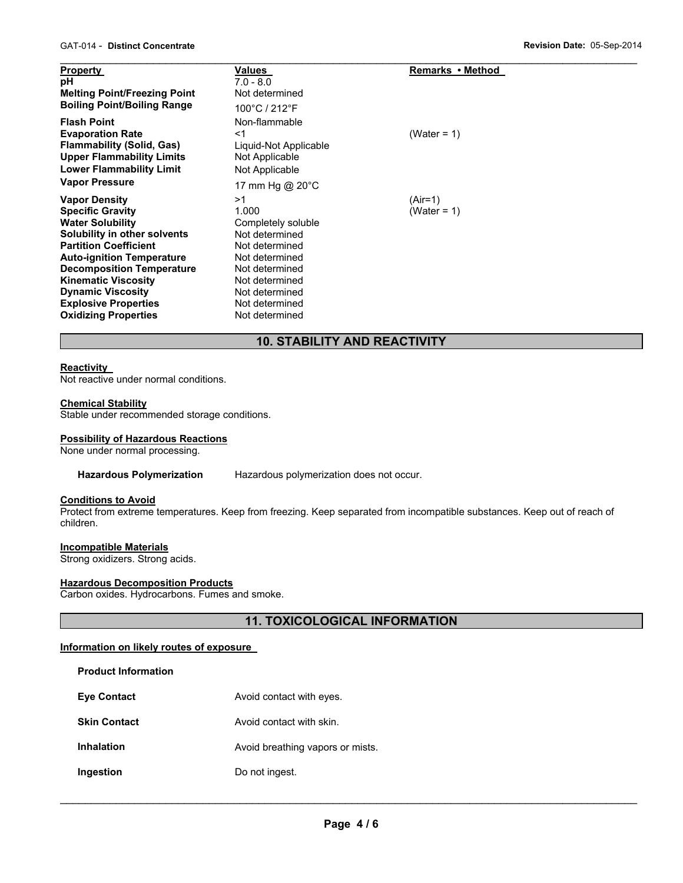| <b>Property</b><br>рH<br><b>Melting Point/Freezing Point</b><br><b>Boiling Point/Boiling Range</b>                                                                                                                                                                                                                                         | Values<br>$7.0 - 8.0$<br>Not determined<br>100°C / 212°F                                                                                                                                             | Remarks • Method       |
|--------------------------------------------------------------------------------------------------------------------------------------------------------------------------------------------------------------------------------------------------------------------------------------------------------------------------------------------|------------------------------------------------------------------------------------------------------------------------------------------------------------------------------------------------------|------------------------|
| <b>Flash Point</b><br><b>Evaporation Rate</b><br><b>Flammability (Solid, Gas)</b><br><b>Upper Flammability Limits</b><br><b>Lower Flammability Limit</b><br><b>Vapor Pressure</b>                                                                                                                                                          | Non-flammable<br>$<$ 1<br>Liquid-Not Applicable<br>Not Applicable<br>Not Applicable                                                                                                                  | (Water = 1)            |
| <b>Vapor Density</b><br><b>Specific Gravity</b><br><b>Water Solubility</b><br>Solubility in other solvents<br><b>Partition Coefficient</b><br><b>Auto-ignition Temperature</b><br><b>Decomposition Temperature</b><br><b>Kinematic Viscosity</b><br><b>Dynamic Viscosity</b><br><b>Explosive Properties</b><br><b>Oxidizing Properties</b> | 17 mm Hg @ 20°C<br>>1<br>1.000<br>Completely soluble<br>Not determined<br>Not determined<br>Not determined<br>Not determined<br>Not determined<br>Not determined<br>Not determined<br>Not determined | (Air=1)<br>(Water = 1) |

# **10. STABILITY AND REACTIVITY**

# **Reactivity**

Not reactive under normal conditions.

# **Chemical Stability**

Stable under recommended storage conditions.

#### **Possibility of Hazardous Reactions**

None under normal processing.

**Hazardous Polymerization** Hazardous polymerization does not occur.

## **Conditions to Avoid**

Protect from extreme temperatures. Keep from freezing. Keep separated from incompatible substances. Keep out of reach of children.

#### **Incompatible Materials**

Strong oxidizers. Strong acids.

#### **Hazardous Decomposition Products**

Carbon oxides. Hydrocarbons. Fumes and smoke.

**11. TOXICOLOGICAL INFORMATION** 

## **Information on likely routes of exposure**

| Avoid contact with eyes.         |
|----------------------------------|
| Avoid contact with skin.         |
| Avoid breathing vapors or mists. |
| Do not ingest.                   |
|                                  |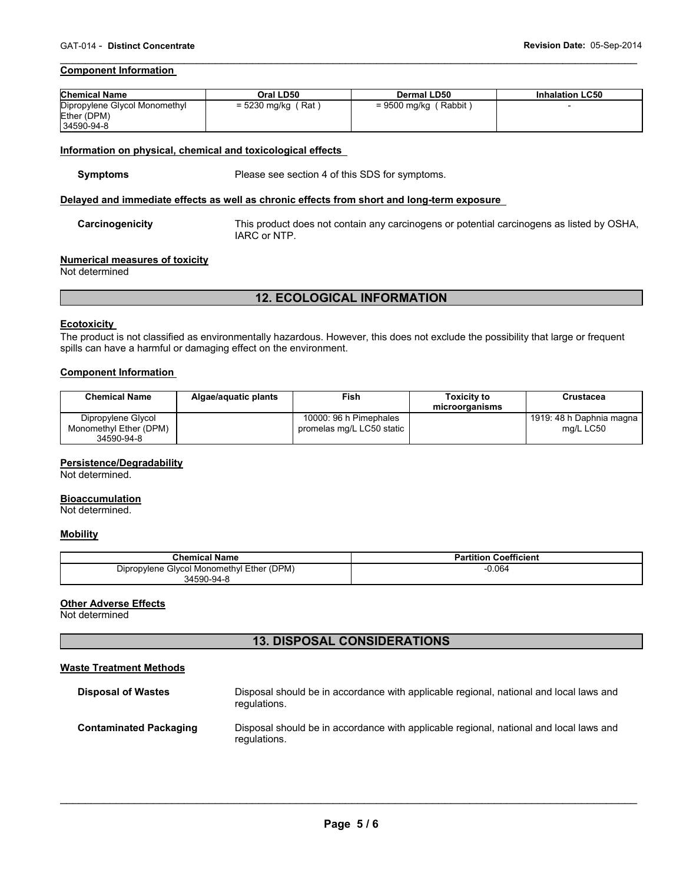## **Component Information**

| <b>Chemical Name</b>          | Oral LD50            | Dermal LD50             | <b>Inhalation LC50</b> |
|-------------------------------|----------------------|-------------------------|------------------------|
| Dipropylene Glycol Monomethyl | $= 5230$ mg/kg (Rat) | = 9500 mg/kg<br>(Rabbit |                        |
| Ether (DPM)                   |                      |                         |                        |
| 34590-94-8                    |                      |                         |                        |

 $\mathcal{L}_\mathcal{L} = \{ \mathcal{L}_\mathcal{L} = \{ \mathcal{L}_\mathcal{L} = \{ \mathcal{L}_\mathcal{L} = \{ \mathcal{L}_\mathcal{L} = \{ \mathcal{L}_\mathcal{L} = \{ \mathcal{L}_\mathcal{L} = \{ \mathcal{L}_\mathcal{L} = \{ \mathcal{L}_\mathcal{L} = \{ \mathcal{L}_\mathcal{L} = \{ \mathcal{L}_\mathcal{L} = \{ \mathcal{L}_\mathcal{L} = \{ \mathcal{L}_\mathcal{L} = \{ \mathcal{L}_\mathcal{L} = \{ \mathcal{L}_\mathcal{$ 

#### **Information on physical, chemical and toxicological effects**

**Symptoms** Please see section 4 of this SDS for symptoms.

#### **Delayed and immediate effects as well as chronic effects from short and long-term exposure**

**Carcinogenicity** This product does not contain any carcinogens or potential carcinogens as listed by OSHA, IARC or NTP.

#### **Numerical measures of toxicity**

Not determined

# **12. ECOLOGICAL INFORMATION**

#### **Ecotoxicity**

The product is not classified as environmentally hazardous. However, this does not exclude the possibility that large or frequent spills can have a harmful or damaging effect on the environment.

#### **Component Information**

| <b>Chemical Name</b>   | Algae/aquatic plants | Fish                      | <b>Toxicity to</b><br>microorganisms | Crustacea                |
|------------------------|----------------------|---------------------------|--------------------------------------|--------------------------|
| Dipropylene Glycol     |                      | 10000: 96 h Pimephales    |                                      | 1919: 48 h Daphnia magna |
| Monomethyl Ether (DPM) |                      | promelas mg/L LC50 static |                                      | ma/L LC50                |
| 34590-94-8             |                      |                           |                                      |                          |

## **Persistence/Degradability**

Not determined.

## **Bioaccumulation**

Not determined.

# **Mobility**

| <b>Chemical Name</b>                      | <b>Partition Coefficient</b> |
|-------------------------------------------|------------------------------|
| Dipropylene Glycol Monomethyl Ether (DPM) | $-0.064$                     |
| 34590-94-8                                |                              |

## **Other Adverse Effects**

Not determined

# **13. DISPOSAL CONSIDERATIONS**

## **Waste Treatment Methods**

| <b>Disposal of Wastes</b>     | Disposal should be in accordance with applicable regional, national and local laws and<br>regulations. |
|-------------------------------|--------------------------------------------------------------------------------------------------------|
| <b>Contaminated Packaging</b> | Disposal should be in accordance with applicable regional, national and local laws and<br>regulations. |